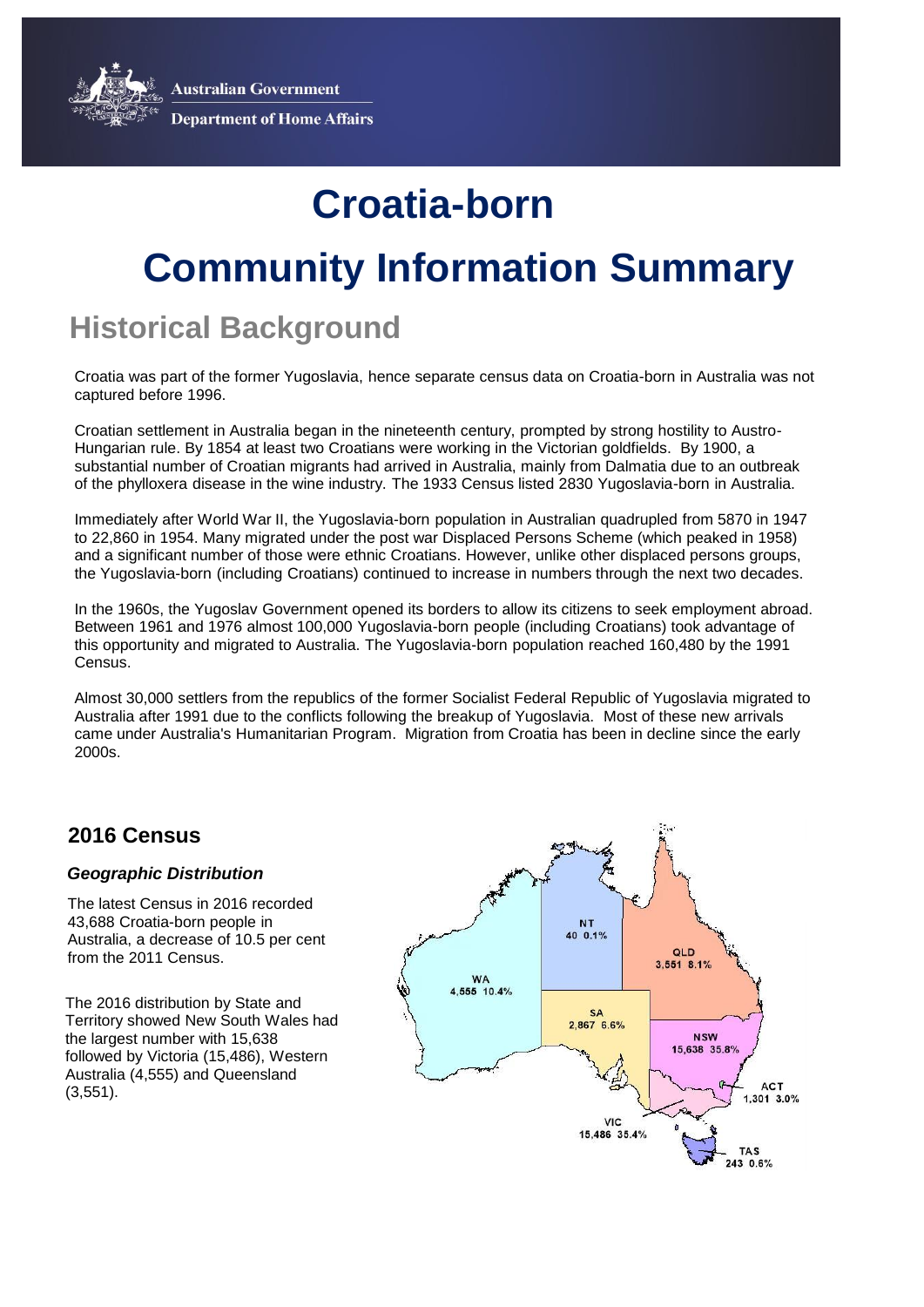**Australian Government** 



**Department of Home Affairs** 

# **Croatia-born**

## **Community Information Summary**

### **Historical Background**

Croatia was part of the former Yugoslavia, hence separate census data on Croatia-born in Australia was not captured before 1996.

Croatian settlement in Australia began in the nineteenth century, prompted by strong hostility to Austro-Hungarian rule. By 1854 at least two Croatians were working in the Victorian goldfields. By 1900, a substantial number of Croatian migrants had arrived in Australia, mainly from Dalmatia due to an outbreak of the phylloxera disease in the wine industry. The 1933 Census listed 2830 Yugoslavia-born in Australia.

Immediately after World War II, the Yugoslavia-born population in Australian quadrupled from 5870 in 1947 to 22,860 in 1954. Many migrated under the post war Displaced Persons Scheme (which peaked in 1958) and a significant number of those were ethnic Croatians. However, unlike other displaced persons groups, the Yugoslavia-born (including Croatians) continued to increase in numbers through the next two decades.

In the 1960s, the Yugoslav Government opened its borders to allow its citizens to seek employment abroad. Between 1961 and 1976 almost 100,000 Yugoslavia-born people (including Croatians) took advantage of this opportunity and migrated to Australia. The Yugoslavia-born population reached 160,480 by the 1991 Census.

Almost 30,000 settlers from the republics of the former Socialist Federal Republic of Yugoslavia migrated to Australia after 1991 due to the conflicts following the breakup of Yugoslavia. Most of these new arrivals came under Australia's Humanitarian Program. Migration from Croatia has been in decline since the early 2000s.

### **2016 Census**

#### *Geographic Distribution*

The latest Census in 2016 recorded 43,688 Croatia-born people in Australia, a decrease of 10.5 per cent from the 2011 Census.

The 2016 distribution by State and Territory showed New South Wales had the largest number with 15,638 followed by Victoria (15,486), Western Australia (4,555) and Queensland (3,551).

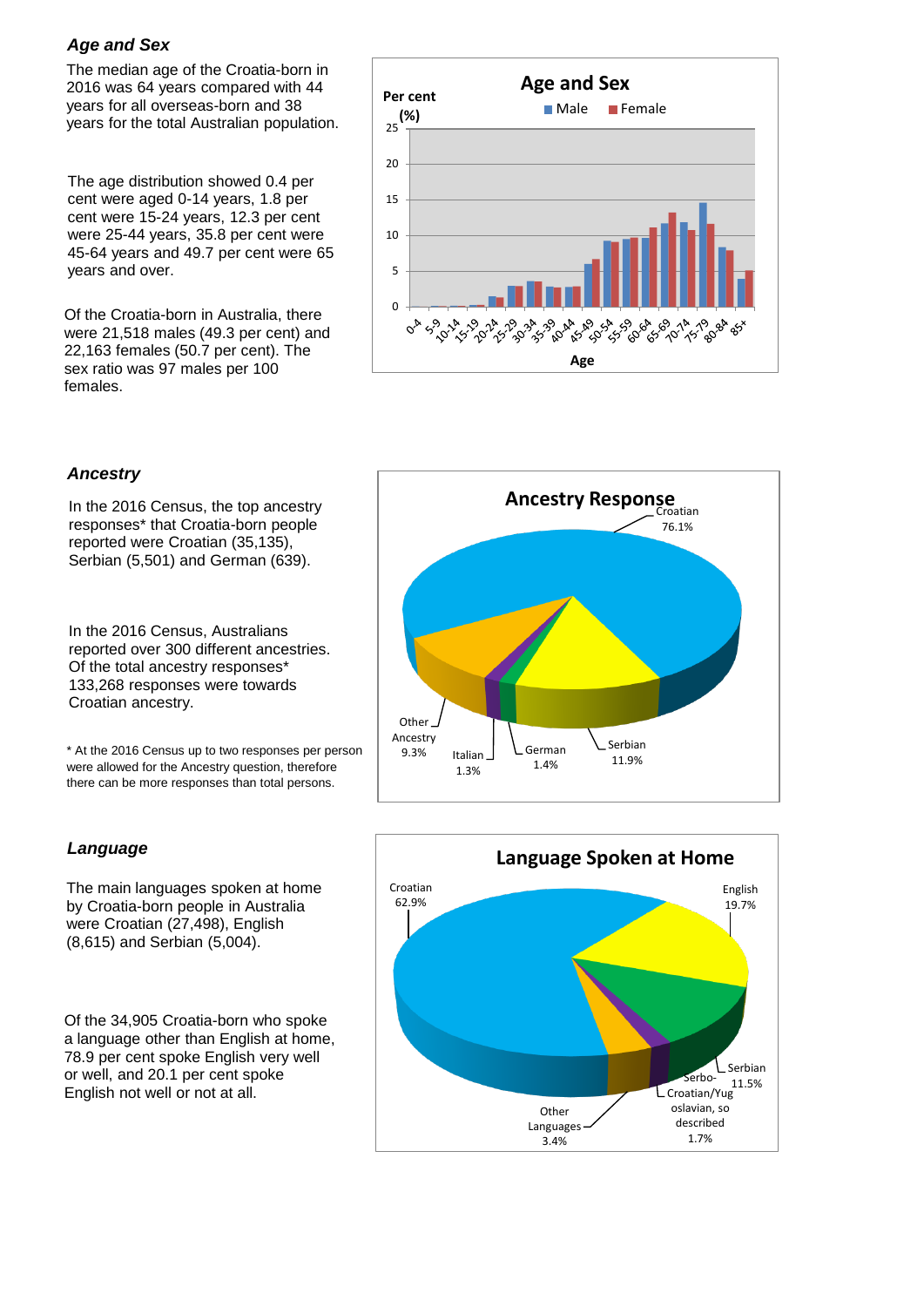#### *Age and Sex*

The median age of the Croatia-born in 2016 was 64 years compared with 44 years for all overseas-born and 38 years for the total Australian population.

The age distribution showed 0.4 per cent were aged 0-14 years, 1.8 per cent were 15-24 years, 12.3 per cent were 25-44 years, 35.8 per cent were 45-64 years and 49.7 per cent were 65 years and over.

Of the Croatia-born in Australia, there were 21,518 males (49.3 per cent) and 22,163 females (50.7 per cent). The sex ratio was 97 males per 100 females.



#### *Ancestry*

In the 2016 Census, the top ancestry responses\* that Croatia-born people reported were Croatian (35,135), Serbian (5,501) and German (639).

In the 2016 Census, Australians reported over 300 different ancestries. Of the total ancestry responses\* 133,268 responses were towards Croatian ancestry.

\* At the 2016 Census up to two responses per person were allowed for the Ancestry question, therefore there can be more responses than total persons.

#### *Language*

The main languages spoken at home by Croatia-born people in Australia were Croatian (27,498), English (8,615) and Serbian (5,004).

Of the 34,905 Croatia-born who spoke a language other than English at home, 78.9 per cent spoke English very well or well, and 20.1 per cent spoke English not well or not at all.



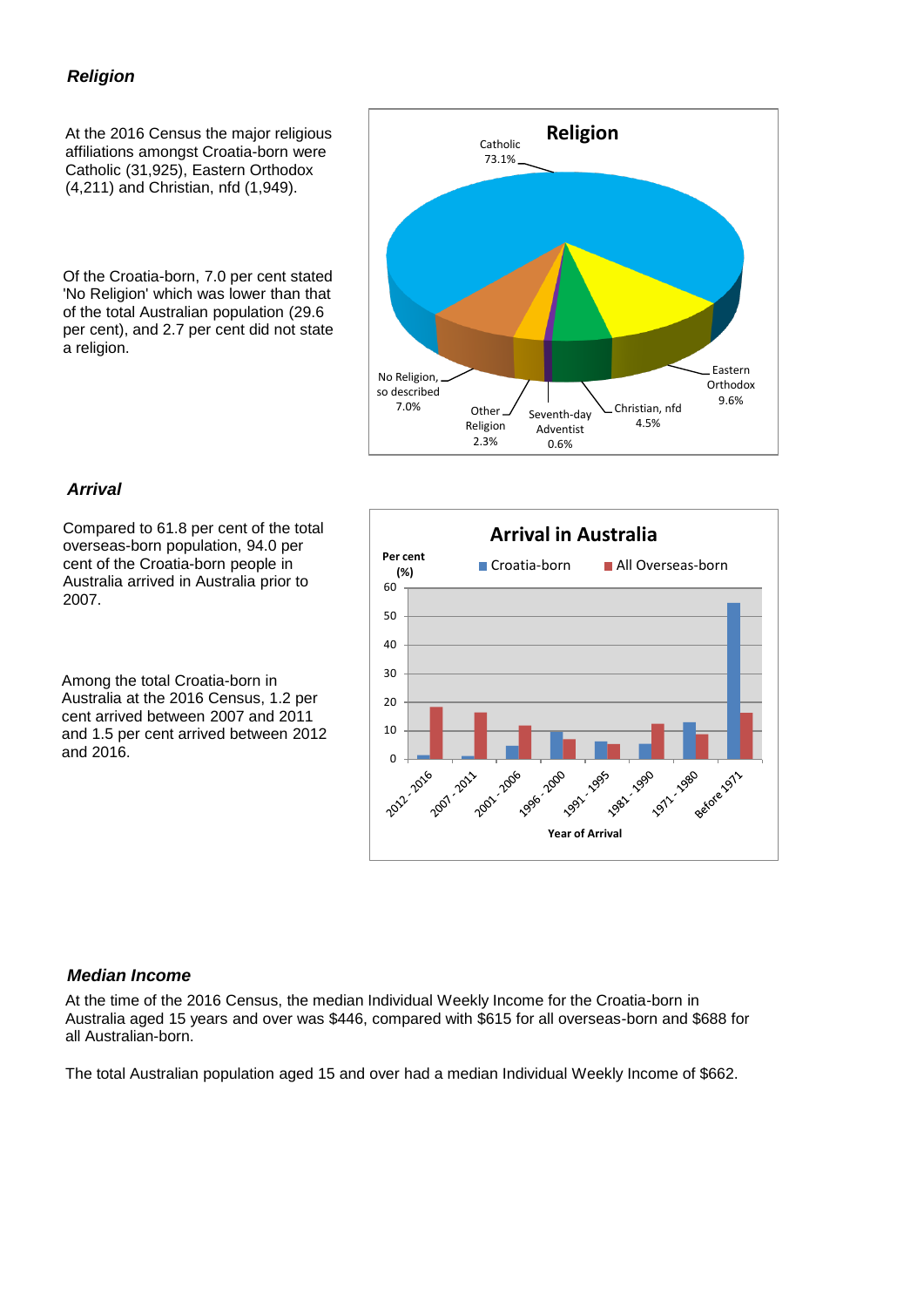#### *Religion*

At the 2016 Census the major religious affiliations amongst Croatia-born were Catholic (31,925), Eastern Orthodox (4,211) and Christian, nfd (1,949).

Of the Croatia-born, 7.0 per cent stated 'No Religion' which was lower than that of the total Australian population (29.6 per cent), and 2.7 per cent did not state a religion.



#### *Arrival*

Compared to 61.8 per cent of the total overseas-born population, 94.0 per cent of the Croatia-born people in Australia arrived in Australia prior to 2007.

Among the total Croatia-born in Australia at the 2016 Census, 1.2 per cent arrived between 2007 and 2011 and 1.5 per cent arrived between 2012 and 2016.



#### *Median Income*

At the time of the 2016 Census, the median Individual Weekly Income for the Croatia-born in Australia aged 15 years and over was \$446, compared with \$615 for all overseas-born and \$688 for all Australian-born.

The total Australian population aged 15 and over had a median Individual Weekly Income of \$662.